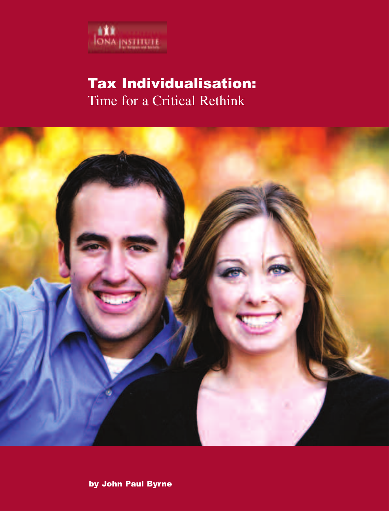

# Tax Individualisation: Time for a Critical Rethink



by John Paul Byrne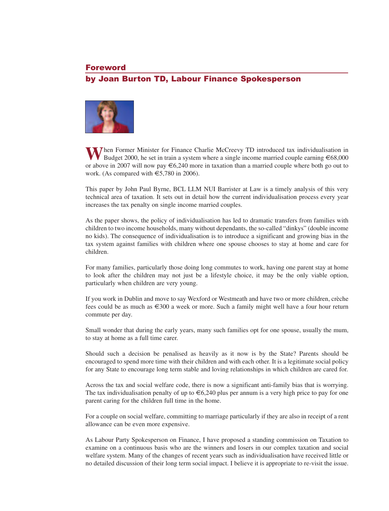# Foreword by Joan Burton TD, Labour Finance Spokesperson



**W**hen Former Minister for Finance Charlie McCreevy TD introduced tax individualisation in Budget 2000, he set in train a system where a single income married couple earning  $\epsilon$ 68,000 or above in 2007 will now pay €6,240 more in taxation than a married couple where both go out to work. (As compared with  $\epsilon$ 5,780 in 2006).

This paper by John Paul Byrne, BCL LLM NUI Barrister at Law is a timely analysis of this very technical area of taxation. It sets out in detail how the current individualisation process every year increases the tax penalty on single income married couples.

As the paper shows, the policy of individualisation has led to dramatic transfers from families with children to two income households, many without dependants, the so-called "dinkys" (double income no kids). The consequence of individualisation is to introduce a significant and growing bias in the tax system against families with children where one spouse chooses to stay at home and care for children.

For many families, particularly those doing long commutes to work, having one parent stay at home to look after the children may not just be a lifestyle choice, it may be the only viable option, particularly when children are very young.

If you work in Dublin and move to say Wexford or Westmeath and have two or more children, crèche fees could be as much as €300 a week or more. Such a family might well have a four hour return commute per day.

Small wonder that during the early years, many such families opt for one spouse, usually the mum, to stay at home as a full time carer.

Should such a decision be penalised as heavily as it now is by the State? Parents should be encouraged to spend more time with their children and with each other. It is a legitimate social policy for any State to encourage long term stable and loving relationships in which children are cared for.

Across the tax and social welfare code, there is now a significant anti-family bias that is worrying. The tax individualisation penalty of up to  $\epsilon$ 6,240 plus per annum is a very high price to pay for one parent caring for the children full time in the home.

For a couple on social welfare, committing to marriage particularly if they are also in receipt of a rent allowance can be even more expensive.

As Labour Party Spokesperson on Finance, I have proposed a standing commission on Taxation to examine on a continuous basis who are the winners and losers in our complex taxation and social welfare system. Many of the changes of recent years such as individualisation have received little or no detailed discussion of their long term social impact. I believe it is appropriate to re-visit the issue.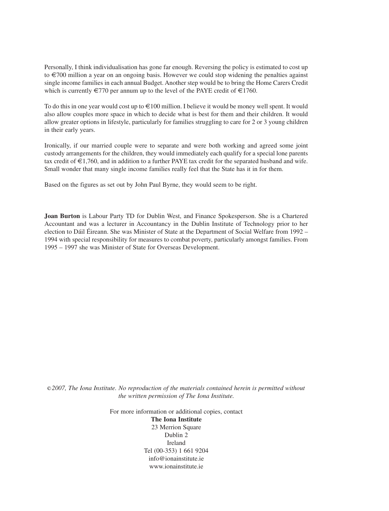Personally, I think individualisation has gone far enough. Reversing the policy is estimated to cost up to €700 million a year on an ongoing basis. However we could stop widening the penalties against single income families in each annual Budget. Another step would be to bring the Home Carers Credit which is currently  $\epsilon$ 770 per annum up to the level of the PAYE credit of  $\epsilon$ 1760.

To do this in one year would cost up to €100 million. I believe it would be money well spent. It would also allow couples more space in which to decide what is best for them and their children. It would allow greater options in lifestyle, particularly for families struggling to care for 2 or 3 young children in their early years.

Ironically, if our married couple were to separate and were both working and agreed some joint custody arrangements for the children, they would immediately each qualify for a special lone parents tax credit of €1,760, and in addition to a further PAYE tax credit for the separated husband and wife. Small wonder that many single income families really feel that the State has it in for them.

Based on the figures as set out by John Paul Byrne, they would seem to be right.

**Joan Burton** is Labour Party TD for Dublin West, and Finance Spokesperson. She is a Chartered Accountant and was a lecturer in Accountancy in the Dublin Institute of Technology prior to her election to Dáil Éireann. She was Minister of State at the Department of Social Welfare from 1992 – 1994 with special responsibility for measures to combat poverty, particularly amongst families. From 1995 – 1997 she was Minister of State for Overseas Development.

c *2007, The Iona Institute. No reproduction of the materials contained herein is permitted without the written permission of The Iona Institute.*

> For more information or additional copies, contact **The Iona Institute** 23 Merrion Square Dublin 2 Ireland Tel (00-353) 1 661 9204 info@ionainstitute.ie www.ionainstitute.ie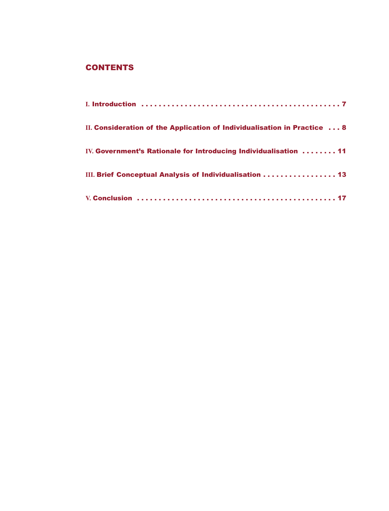# **CONTENTS**

| II. Consideration of the Application of Individualisation in Practice 8 |
|-------------------------------------------------------------------------|
| IV. Government's Rationale for Introducing Individualisation  11        |
| III. Brief Conceptual Analysis of Individualisation 13                  |
|                                                                         |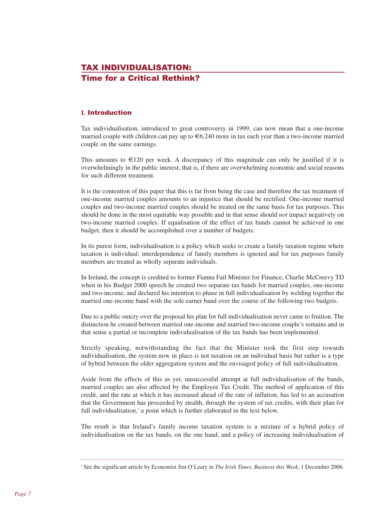# TAX INDIVIDUALISATION: Time for a Critical Rethink?

# **I.** Introduction

Tax individualisation, introduced to great controversy in 1999, can now mean that a one-income married couple with children can pay up to  $\epsilon$ 6,240 more in tax each year than a two-income married couple on the same earnings.

This amounts to  $E120$  per week. A discrepancy of this magnitude can only be justified if it is overwhelmingly in the public interest, that is, if there are overwhelming economic and social reasons for such different treatment.

It is the contention of this paper that this is far from being the case and therefore the tax treatment of one-income married couples amounts to an injustice that should be rectified. One-income married couples and two-income married couples should be treated on the same basis for tax purposes. This should be done in the most equitable way possible and in that sense should *not* impact negatively on two-income married couples. If equalisation of the effect of tax bands cannot be achieved in one budget, then it should be accomplished over a number of budgets.

In its purest form, individualisation is a policy which seeks to create a family taxation regime where taxation is individual: interdependence of family members is ignored and for tax purposes family members are treated as wholly separate individuals.

In Ireland, the concept is credited to former Fianna Fail Minister for Finance, Charlie McCreevy TD when in his Budget 2000 speech he created two separate tax bands for married couples, one-income and two-income, and declared his intention to phase in full individualisation by welding together the married one-income band with the sole earner band over the course of the following two budgets.

Due to a public outcry over the proposal his plan for full individualisation never came to fruition. The distinction he created between married one-income and married two-income couple's remains and in that sense a partial or incomplete individualisation of the tax bands has been implemented.

Strictly speaking, notwithstanding the fact that the Minister took the first step towards individualisation, the system now in place is not taxation on an individual basis but rather is a type of hybrid between the older aggregation system and the envisaged policy of full individualisation.

Aside from the effects of this as yet, unsuccessful attempt at full individualisation of the bands, married couples are also affected by the Employee Tax Credit. The method of application of this credit, and the rate at which it has increased ahead of the rate of inflation, has led to an accusation that the Government has proceeded by stealth, through the system of tax credits, with their plan for full individualisation, $\frac{1}{x}$  a point which is further elaborated in the text below.

The result is that Ireland's family income taxation system is a mixture of a hybrid policy of individualisation on the tax bands, on the one hand, and a policy of increasing individualisation of

<sup>1</sup> See the significant article by Economist Jim O'Leary in *The Irish Times, Business this Week*, 1 December 2006.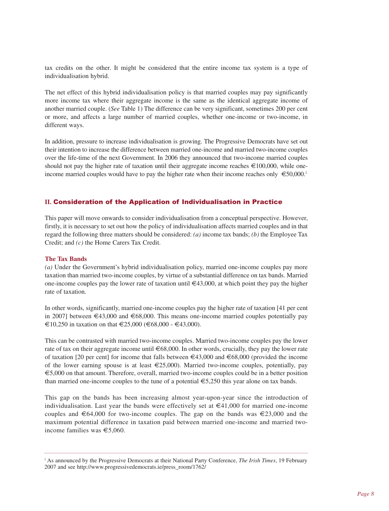tax credits on the other. It might be considered that the entire income tax system is a type of individualisation hybrid.

The net effect of this hybrid individualisation policy is that married couples may pay significantly more income tax where their aggregate income is the same as the identical aggregate income of another married couple. (*See* Table 1) The difference can be very significant, sometimes 200 per cent or more, and affects a large number of married couples, whether one-income or two-income, in different ways.

In addition, pressure to increase individualisation is growing. The Progressive Democrats have set out their intention to increase the difference between married one-income and married two-income couples over the life-time of the next Government. In 2006 they announced that two-income married couples should not pay the higher rate of taxation until their aggregate income reaches  $\epsilon$ 100,000, while oneincome married couples would have to pay the higher rate when their income reaches only  $\epsilon$  50,000.<sup>2</sup>

# **II.** Consideration of the Application of Individualisation in Practice

This paper will move onwards to consider individualisation from a conceptual perspective. However, firstly, it is necessary to set out how the policy of individualisation affects married couples and in that regard the following three matters should be considered: *(a)* income tax bands; *(b)* the Employee Tax Credit; and *(c)* the Home Carers Tax Credit.

## **The Tax Bands**

*(a)* Under the Government's hybrid individualisation policy, married one-income couples pay more taxation than married two-income couples, by virtue of a substantial difference on tax bands. Married one-income couples pay the lower rate of taxation until €43,000, at which point they pay the higher rate of taxation.

In other words, significantly, married one-income couples pay the higher rate of taxation [41 per cent in 2007] between  $\epsilon$ 43,000 and  $\epsilon$ 68,000. This means one-income married couples potentially pay €10,250 in taxation on that €25,000 (€68,000 - €43,000).

This can be contrasted with married two-income couples. Married two-income couples pay the lower rate of tax on their aggregate income until  $\epsilon$ 68,000. In other words, crucially, they pay the lower rate of taxation [20 per cent] for income that falls between  $\in$ 43,000 and  $\in$ 68,000 (provided the income of the lower earning spouse is at least  $\epsilon$ 25,000). Married two-income couples, potentially, pay €5,000 on that amount. Therefore, overall, married two-income couples could be in a better position than married one-income couples to the tune of a potential  $\epsilon$ 5,250 this year alone on tax bands.

This gap on the bands has been increasing almost year-upon-year since the introduction of individualisation. Last year the bands were effectively set at  $\in$ 41,000 for married one-income couples and  $\epsilon$ 64,000 for two-income couples. The gap on the bands was  $\epsilon$ 23,000 and the maximum potential difference in taxation paid between married one-income and married twoincome families was €5,060.

<sup>2</sup> As announced by the Progressive Democrats at their National Party Conference, *The Irish Times*, 19 February 2007 and see http://www.progressivedemocrats.ie/press\_room/1762/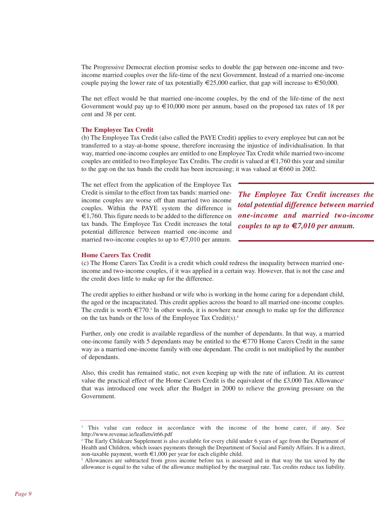The Progressive Democrat election promise seeks to double the gap between one-income and twoincome married couples over the life-time of the next Government. Instead of a married one-income couple paying the lower rate of tax potentially  $\epsilon$ 25,000 earlier, that gap will increase to  $\epsilon$ 50,000.

The net effect would be that married one-income couples, by the end of the life-time of the next Government would pay up to  $\epsilon$ 10,000 more per annum, based on the proposed tax rates of 18 per cent and 38 per cent.

#### **The Employee Tax Credit**

(b) The Employee Tax Credit (also called the PAYE Credit) applies to every employee but can not be transferred to a stay-at-home spouse, therefore increasing the injustice of individualisation. In that way, married one-income couples are entitled to one Employee Tax Credit while married two-income couples are entitled to two Employee Tax Credits. The credit is valued at  $\epsilon 1,760$  this year and similar to the gap on the tax bands the credit has been increasing; it was valued at  $\epsilon$ 660 in 2002.

The net effect from the application of the Employee Tax Credit is similar to the effect from tax bands: married oneincome couples are worse off than married two income couples. Within the PAYE system the difference is €1,760. This figure needs to be added to the difference on tax bands. The Employee Tax Credit increases the total potential difference between married one-income and married two-income couples to up to  $\in 7,010$  per annum.

*The Employee Tax Credit increases the total potential difference between married one-income and married two-income couples to up to* **€***7,010 per annum.*

#### **Home Carers Tax Credit**

(c) The Home Carers Tax Credit is a credit which could redress the inequality between married oneincome and two-income couples, if it was applied in a certain way. However, that is not the case and the credit does little to make up for the difference.

The credit applies to either husband or wife who is working in the home caring for a dependant child, the aged or the incapacitated. This credit applies across the board to all married one-income couples. The credit is worth  $\epsilon$ 770.<sup>3</sup> In other words, it is nowhere near enough to make up for the difference on the tax bands or the loss of the Employee Tax Credit(s).4

Further, only one credit is available regardless of the number of dependants. In that way, a married one-income family with 5 dependants may be entitled to the  $\epsilon$ 770 Home Carers Credit in the same way as a married one-income family with one dependant. The credit is not multiplied by the number of dependants.

Also, this credit has remained static, not even keeping up with the rate of inflation. At its current value the practical effect of the Home Carers Credit is the equivalent of the  $\text{\pounds}3,000$  Tax Allowance<sup>5</sup> that was introduced one week after the Budget in 2000 to relieve the growing pressure on the Government.

<sup>&</sup>lt;sup>3</sup> This value can reduce in accordance with the income of the home carer, if any. See http://www.revenue.ie/leaflets/it66.pdf

<sup>4</sup> The Early Childcare Supplement is also available for every child under 6 years of age from the Department of Health and Children, which issues payments through the Department of Social and Family Affairs. It is a direct, non-taxable payment, worth  $\epsilon 1,000$  per year for each eligible child.

<sup>&</sup>lt;sup>5</sup> Allowances are subtracted from gross income before tax is assessed and in that way the tax saved by the allowance is equal to the value of the allowance multiplied by the marginal rate. Tax credits reduce tax liability.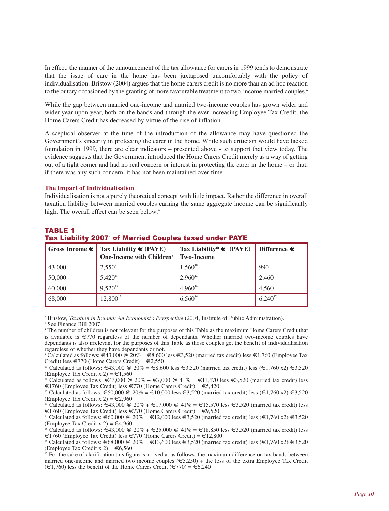In effect, the manner of the announcement of the tax allowance for carers in 1999 tends to demonstrate that the issue of care in the home has been juxtaposed uncomfortably with the policy of individualisation. Bristow (2004) argues that the home carers credit is no more than an ad hoc reaction to the outcry occasioned by the granting of more favourable treatment to two-income married couples.<sup>6</sup>

While the gap between married one-income and married two-income couples has grown wider and wider year-upon-year, both on the bands and through the ever-increasing Employee Tax Credit, the Home Carers Credit has decreased by virtue of the rise of inflation.

A sceptical observer at the time of the introduction of the allowance may have questioned the Government's sincerity in protecting the carer in the home. While such criticism would have lacked foundation in 1999, there are clear indicators – presented above - to support that view today. The evidence suggests that the Government introduced the Home Carers Credit merely as a way of getting out of a tight corner and had no real concern or interest in protecting the carer in the home – or that, if there was any such concern, it has not been maintained over time.

#### **The Impact of Individualisation**

Individualisation is not a purely theoretical concept with little impact. Rather the difference in overall taxation liability between married couples earning the same aggregate income can be significantly high. The overall effect can be seen below:<sup>6</sup>

|--|

| Gross Income $\epsilon$ | Tax Liability $\epsilon$ (PAYE)<br>One-Income with Children <sup>s</sup> | Tax Liability* $\epsilon$ (PAYE)<br><b>Two-Income</b> | Difference $\epsilon$ |
|-------------------------|--------------------------------------------------------------------------|-------------------------------------------------------|-----------------------|
| 43,000                  | $2,550^{\circ}$                                                          | $1,560^{10}$                                          | 990                   |
| 50,000                  | $5,420$ <sup>11</sup>                                                    | $2,960^{12}$                                          | 2.460                 |
| 60,000                  | $9,520^{13}$                                                             | $4,960^{14}$                                          | 4.560                 |
| 68,000                  | $12,800^{15}$                                                            | $6,560^{16}$                                          | $6,240^{17}$          |

# Tax Liability 2007<sup>'</sup> of Married Couples taxed under PAYE

<sup>6</sup> Bristow, *Taxation in Ireland: An Economist's Perspective* (2004, Institute of Public Administration).

<sup>8</sup> The number of children is not relevant for the purposes of this Table as the maximum Home Carers Credit that is available is €770 regardless of the number of dependants. Whether married two-income couples have dependants is also irrelevant for the purposes of this Table as those couples get the benefit of individualisation regardless of whether they have dependants or not.

<sup>9</sup> Calculated as follows: €43,000 @ 20% = €8,600 less €3,520 (married tax credit) less €1,760 (Employee Tax Credit) less €770 (Home Carers Credit) = €2,550

<sup>10</sup> Calculated as follows: €43,000 @ 20% = €8,600 less €3,520 (married tax credit) less (€1,760 x2) €3,520 (Employee Tax Credit x 2) =  $\text{\textsterling}1,560$ 

<sup>11</sup> Calculated as follows: €43,000 @ 20% + €7,000 @ 41% = €11,470 less €3,520 (married tax credit) less €1760 (Employee Tax Credit) less €770 (Home Carers Credit) = €5,420

<sup>12</sup> Calculated as follows:  $\epsilon$ 50,000 @ 20% =  $\epsilon$ 10,000 less  $\epsilon$ 3,520 (married tax credit) less ( $\epsilon$ 1,760 x2)  $\epsilon$ 3,520 (Employee Tax Credit x 2) =  $\epsilon$ 2,960

<sup>13</sup> Calculated as follows:  $\epsilon$ 43,000 @ 20% +  $\epsilon$ 17,000 @ 41% =  $\epsilon$ 15,570 less  $\epsilon$ 3,520 (married tax credit) less €1760 (Employee Tax Credit) less €770 (Home Carers Credit) = €9,520

<sup>14</sup> Calculated as follows:  $\epsilon$ 60,000 @ 20% =  $\epsilon$ 12,000 less  $\epsilon$ 3,520 (married tax credit) less ( $\epsilon$ 1,760 x2)  $\epsilon$ 3,520 (Employee Tax Credit x 2) =  $\epsilon$ 4,960

<sup>15</sup> Calculated as follows:  $\hat{\epsilon}$ 43,000 @ 20% +  $\epsilon$ 25,000 @ 41% =  $\epsilon$ 18,850 less  $\epsilon$ 3,520 (married tax credit) less €1760 (Employee Tax Credit) less €770 (Home Carers Credit) = €12,800

<sup>16</sup> Calculated as follows:  $\epsilon$ 68,000 @ 20% =  $\epsilon$ 13,600 less  $\epsilon$ 3,520 (married tax credit) less ( $\epsilon$ 1,760 x2)  $\epsilon$ 3,520 (Employee Tax Credit x 2) =  $\text{\textsterling}6,560$ 

<sup>17</sup> For the sake of clarification this figure is arrived at as follows: the maximum difference on tax bands between married one-income and married two income couples  $(\epsilon 5,250)$  + the loss of the extra Employee Tax Credit  $(\text{€1,760})$  less the benefit of the Home Carers Credit  $(\text{€770}) = \text{€6,240}$ 

<sup>7</sup> See Finance Bill 2007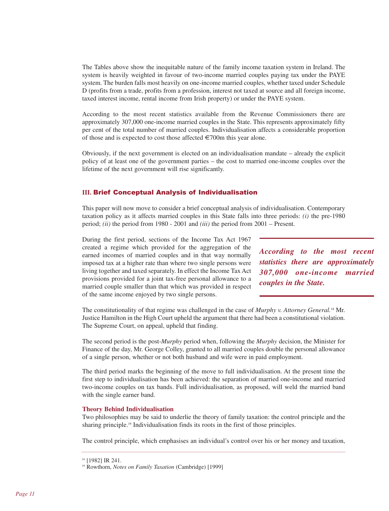The Tables above show the inequitable nature of the family income taxation system in Ireland. The system is heavily weighted in favour of two-income married couples paying tax under the PAYE system. The burden falls most heavily on one-income married couples, whether taxed under Schedule D (profits from a trade, profits from a profession, interest not taxed at source and all foreign income, taxed interest income, rental income from Irish property) or under the PAYE system.

According to the most recent statistics available from the Revenue Commissioners there are approximately 307,000 one-income married couples in the State. This represents approximately fifty per cent of the total number of married couples. Individualisation affects a considerable proportion of those and is expected to cost those affected  $\in 700$ m this year alone.

Obviously, if the next government is elected on an individualisation mandate – already the explicit policy of at least one of the government parties – the cost to married one-income couples over the lifetime of the next government will rise significantly.

# **III.** Brief Conceptual Analysis of Individualisation

This paper will now move to consider a brief conceptual analysis of individualisation. Contemporary taxation policy as it affects married couples in this State falls into three periods: *(i)* the pre-1980 period; *(ii)* the period from 1980 - 2001 and *(iii)* the period from 2001 – Present.

During the first period, sections of the Income Tax Act 1967 created a regime which provided for the aggregation of the earned incomes of married couples and in that way normally imposed tax at a higher rate than where two single persons were living together and taxed separately. In effect the Income Tax Act provisions provided for a joint tax-free personal allowance to a married couple smaller than that which was provided in respect of the same income enjoyed by two single persons.

*According to the most recent statistics there are approximately 307,000 one-income married couples in the State.*

The constitutionality of that regime was challenged in the case of *Murphy v. Attorney General.*<sup>18</sup> Mr. Justice Hamilton in the High Court upheld the argument that there had been a constitutional violation. The Supreme Court, on appeal, upheld that finding.

The second period is the post-*Murphy* period when, following the *Murphy* decision, the Minister for Finance of the day, Mr. George Colley, granted to all married couples double the personal allowance of a single person, whether or not both husband and wife were in paid employment.

The third period marks the beginning of the move to full individualisation. At the present time the first step to individualisation has been achieved: the separation of married one-income and married two-income couples on tax bands. Full individualisation, as proposed, will weld the married band with the single earner band.

#### **Theory Behind Individualisation**

Two philosophies may be said to underlie the theory of family taxation: the control principle and the sharing principle.<sup>19</sup> Individualisation finds its roots in the first of those principles.

The control principle, which emphasises an individual's control over his or her money and taxation,

<sup>&</sup>lt;sup>18</sup> [1982] IR 241.

<sup>19</sup> Rowthorn, *Notes on Family Taxation* (Cambridge) [1999]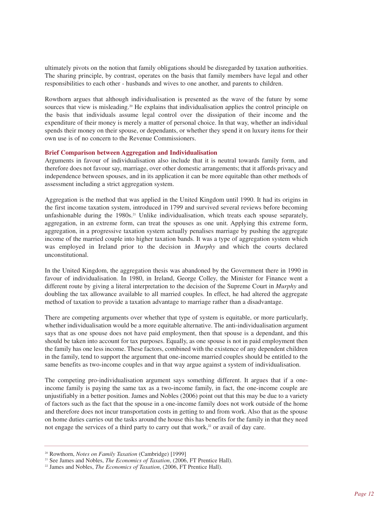ultimately pivots on the notion that family obligations should be disregarded by taxation authorities. The sharing principle, by contrast, operates on the basis that family members have legal and other responsibilities to each other - husbands and wives to one another, and parents to children.

Rowthorn argues that although individualisation is presented as the wave of the future by some sources that view is misleading.<sup>20</sup> He explains that individualisation applies the control principle on the basis that individuals assume legal control over the dissipation of their income and the expenditure of their money is merely a matter of personal choice. In that way, whether an individual spends their money on their spouse, or dependants, or whether they spend it on luxury items for their own use is of no concern to the Revenue Commissioners.

#### **Brief Comparison between Aggregation and Individualisation**

Arguments in favour of individualisation also include that it is neutral towards family form, and therefore does not favour say, marriage, over other domestic arrangements; that it affords privacy and independence between spouses, and in its application it can be more equitable than other methods of assessment including a strict aggregation system.

Aggregation is the method that was applied in the United Kingdom until 1990. It had its origins in the first income taxation system, introduced in 1799 and survived several reviews before becoming unfashionable during the 1980s.<sup>21</sup> Unlike individualisation, which treats each spouse separately, aggregation, in an extreme form, can treat the spouses as one unit. Applying this extreme form, aggregation, in a progressive taxation system actually penalises marriage by pushing the aggregate income of the married couple into higher taxation bands. It was a type of aggregation system which was employed in Ireland prior to the decision in *Murphy* and which the courts declared unconstitutional.

In the United Kingdom, the aggregation thesis was abandoned by the Government there in 1990 in favour of individualisation. In 1980, in Ireland, George Colley, the Minister for Finance went a different route by giving a literal interpretation to the decision of the Supreme Court in *Murphy* and doubling the tax allowance available to all married couples. In effect, he had altered the aggregate method of taxation to provide a taxation advantage to marriage rather than a disadvantage.

There are competing arguments over whether that type of system is equitable, or more particularly, whether individualisation would be a more equitable alternative. The anti-individualisation argument says that as one spouse does not have paid employment, then that spouse is a dependant, and this should be taken into account for tax purposes. Equally, as one spouse is not in paid employment then the family has one less income. These factors, combined with the existence of any dependent children in the family, tend to support the argument that one-income married couples should be entitled to the same benefits as two-income couples and in that way argue against a system of individualisation.

The competing pro-individualisation argument says something different. It argues that if a oneincome family is paying the same tax as a two-income family, in fact, the one-income couple are unjustifiably in a better position. James and Nobles (2006) point out that this may be due to a variety of factors such as the fact that the spouse in a one-income family does not work outside of the home and therefore does not incur transportation costs in getting to and from work. Also that as the spouse on home duties carries out the tasks around the house this has benefits for the family in that they need not engage the services of a third party to carry out that work, $22$  or avail of day care.

<sup>20</sup> Rowthorn, *Notes on Family Taxation* (Cambridge) [1999]

<sup>&</sup>lt;sup>21</sup> See James and Nobles, *The Economics of Taxation*, (2006, FT Prentice Hall).

<sup>&</sup>lt;sup>22</sup> James and Nobles, *The Economics of Taxation*, (2006, FT Prentice Hall).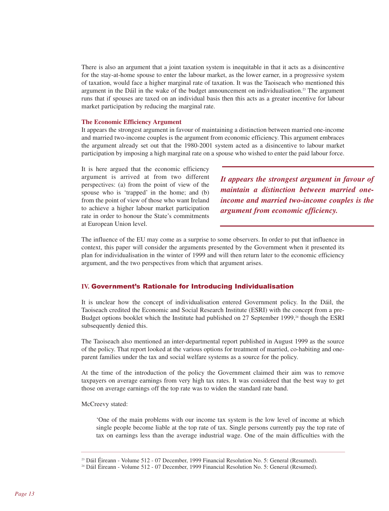There is also an argument that a joint taxation system is inequitable in that it acts as a disincentive for the stay-at-home spouse to enter the labour market, as the lower earner, in a progressive system of taxation, would face a higher marginal rate of taxation. It was the Taoiseach who mentioned this argument in the Dáil in the wake of the budget announcement on individualisation.<sup>23</sup> The argument runs that if spouses are taxed on an individual basis then this acts as a greater incentive for labour market participation by reducing the marginal rate.

#### **The Economic Efficiency Argument**

It appears the strongest argument in favour of maintaining a distinction between married one-income and married two-income couples is the argument from economic efficiency. This argument embraces the argument already set out that the 1980-2001 system acted as a disincentive to labour market participation by imposing a high marginal rate on a spouse who wished to enter the paid labour force.

It is here argued that the economic efficiency argument is arrived at from two different perspectives: (a) from the point of view of the spouse who is 'trapped' in the home; and (b) from the point of view of those who want Ireland to achieve a higher labour market participation rate in order to honour the State's commitments at European Union level.

*It appears the strongest argument in favour of maintain a distinction between married oneincome and married two-income couples is the argument from economic efficiency.*

The influence of the EU may come as a surprise to some observers. In order to put that influence in context, this paper will consider the arguments presented by the Government when it presented its plan for individualisation in the winter of 1999 and will then return later to the economic efficiency argument, and the two perspectives from which that argument arises.

#### **IV.** Government's Rationale for Introducing Individualisation

It is unclear how the concept of individualisation entered Government policy. In the Dáil, the Taoiseach credited the Economic and Social Research Institute (ESRI) with the concept from a pre-Budget options booklet which the Institute had published on 27 September 1999,<sup>24</sup> though the ESRI subsequently denied this.

The Taoiseach also mentioned an inter-departmental report published in August 1999 as the source of the policy. That report looked at the various options for treatment of married, co-habiting and oneparent families under the tax and social welfare systems as a source for the policy.

At the time of the introduction of the policy the Government claimed their aim was to remove taxpayers on average earnings from very high tax rates. It was considered that the best way to get those on average earnings off the top rate was to widen the standard rate band.

#### McCreevy stated:

'One of the main problems with our income tax system is the low level of income at which single people become liable at the top rate of tax. Single persons currently pay the top rate of tax on earnings less than the average industrial wage. One of the main difficulties with the

<sup>23</sup> Dáil Éireann - Volume 512 - 07 December, 1999 Financial Resolution No. 5: General (Resumed).

<sup>24</sup> Dáil Éireann - Volume 512 - 07 December, 1999 Financial Resolution No. 5: General (Resumed).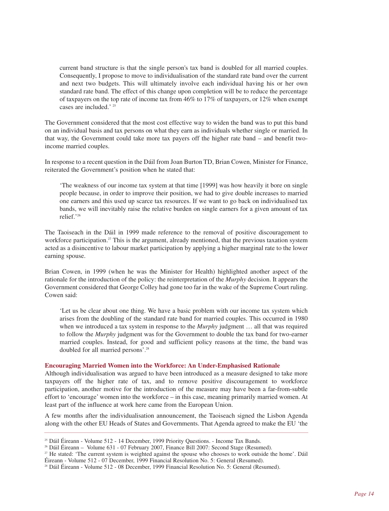current band structure is that the single person's tax band is doubled for all married couples. Consequently, I propose to move to individualisation of the standard rate band over the current and next two budgets. This will ultimately involve each individual having his or her own standard rate band. The effect of this change upon completion will be to reduce the percentage of taxpayers on the top rate of income tax from 46% to 17% of taxpayers, or 12% when exempt cases are included.' <sup>25</sup>

The Government considered that the most cost effective way to widen the band was to put this band on an individual basis and tax persons on what they earn as individuals whether single or married. In that way, the Government could take more tax payers off the higher rate band – and benefit twoincome married couples.

In response to a recent question in the Dáil from Joan Burton TD, Brian Cowen, Minister for Finance, reiterated the Government's position when he stated that:

'The weakness of our income tax system at that time [1999] was how heavily it bore on single people because, in order to improve their position, we had to give double increases to married one earners and this used up scarce tax resources. If we want to go back on individualised tax bands, we will inevitably raise the relative burden on single earners for a given amount of tax relief.'26

The Taoiseach in the Dáil in 1999 made reference to the removal of positive discouragement to workforce participation.<sup>27</sup> This is the argument, already mentioned, that the previous taxation system acted as a disincentive to labour market participation by applying a higher marginal rate to the lower earning spouse.

Brian Cowen, in 1999 (when he was the Minister for Health) highlighted another aspect of the rationale for the introduction of the policy: the reinterpretation of the *Murphy* decision. It appears the Government considered that George Colley had gone too far in the wake of the Supreme Court ruling. Cowen said:

'Let us be clear about one thing. We have a basic problem with our income tax system which arises from the doubling of the standard rate band for married couples. This occurred in 1980 when we introduced a tax system in response to the *Murphy* judgment … all that was required to follow the *Murphy* judgment was for the Government to double the tax band for two-earner married couples. Instead, for good and sufficient policy reasons at the time, the band was doubled for all married persons'. 28

## **Encouraging Married Women into the Workforce: An Under-Emphasised Rationale**

Although individualisation was argued to have been introduced as a measure designed to take more taxpayers off the higher rate of tax, and to remove positive discouragement to workforce participation, another motive for the introduction of the measure may have been a far-from-subtle effort to 'encourage' women into the workforce – in this case, meaning primarily married women. At least part of the influence at work here came from the European Union.

A few months after the individualisation announcement, the Taoiseach signed the Lisbon Agenda along with the other EU Heads of States and Governments. That Agenda agreed to make the EU 'the

 $25$  Dáil Éireann - Volume 512 - 14 December, 1999 Priority Questions. - Income Tax Bands.

<sup>&</sup>lt;sup>26</sup> Dáil Éireann – Volume 631 - 07 February 2007, Finance Bill 2007: Second Stage (Resumed). <sup>27</sup> He stated: 'The current system is weighted against the spouse who chooses to work outside the home'. Dáil

Éireann - Volume 512 - 07 December, 1999 Financial Resolution No. 5: General (Resumed).

<sup>28</sup> Dáil Éireann - Volume 512 - 08 December, 1999 Financial Resolution No. 5: General (Resumed).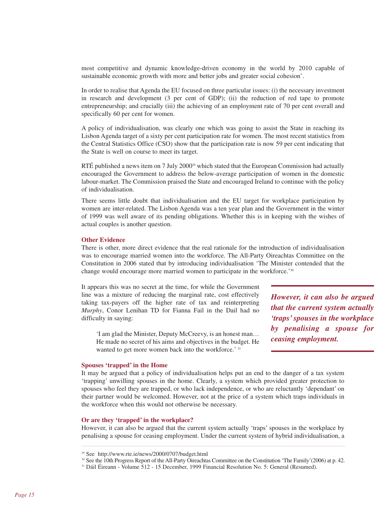most competitive and dynamic knowledge-driven economy in the world by 2010 capable of sustainable economic growth with more and better jobs and greater social cohesion'.

In order to realise that Agenda the EU focused on three particular issues: (i) the necessary investment in research and development (3 per cent of GDP); (ii) the reduction of red tape to promote entrepreneurship; and crucially (iii) the achieving of an employment rate of 70 per cent overall and specifically 60 per cent for women.

A policy of individualisation, was clearly one which was going to assist the State in reaching its Lisbon Agenda target of a sixty per cent participation rate for women. The most recent statistics from the Central Statistics Office (CSO) show that the participation rate is now 59 per cent indicating that the State is well on course to meet its target.

RTÉ published a news item on 7 July  $2000<sup>29</sup>$  which stated that the European Commission had actually encouraged the Government to address the below-average participation of women in the domestic labour-market. The Commission praised the State and encouraged Ireland to continue with the policy of individualisation.

There seems little doubt that individualisation and the EU target for workplace participation by women are inter-related. The Lisbon Agenda was a ten year plan and the Government in the winter of 1999 was well aware of its pending obligations. Whether this is in keeping with the wishes of actual couples is another question.

#### **Other Evidence**

There is other, more direct evidence that the real rationale for the introduction of individualisation was to encourage married women into the workforce. The All-Party Oireachtas Committee on the Constitution in 2006 stated that by introducing individualisation 'The Minister contended that the change would encourage more married women to participate in the workforce.'<sup>30</sup>

It appears this was no secret at the time, for while the Government line was a mixture of reducing the marginal rate, cost effectively taking tax-payers off the higher rate of tax and reinterpreting *Murphy*, Conor Lenihan TD for Fianna Fail in the Dail had no difficulty in saying:

'I am glad the Minister, Deputy McCreevy, is an honest man… He made no secret of his aims and objectives in the budget. He wanted to get more women back into the workforce.' 31

*However, it can also be argued that the current system actually 'traps'spouses in the workplace by penalising a spouse for ceasing employment.*

#### **Spouses 'trapped' in the Home**

It may be argued that a policy of individualisation helps put an end to the danger of a tax system 'trapping' unwilling spouses in the home. Clearly, a system which provided greater protection to spouses who feel they are trapped, or who lack independence, or who are reluctantly 'dependant' on their partner would be welcomed. However, not at the price of a system which traps individuals in the workforce when this would not otherwise be necessary.

#### **Or are they 'trapped' in the workplace?**

However, it can also be argued that the current system actually 'traps' spouses in the workplace by penalising a spouse for ceasing employment. Under the current system of hybrid individualisation, a

<sup>29</sup> See http://www.rte.ie/news/2000/0707/budget.html

<sup>30</sup> See the 10th Progress Report of the All-Party Oireachtas Committee on the Constitution 'The Family'(2006) at p. 42.

<sup>31</sup> Dáil Éireann - Volume 512 - 15 December, 1999 Financial Resolution No. 5: General (Resumed).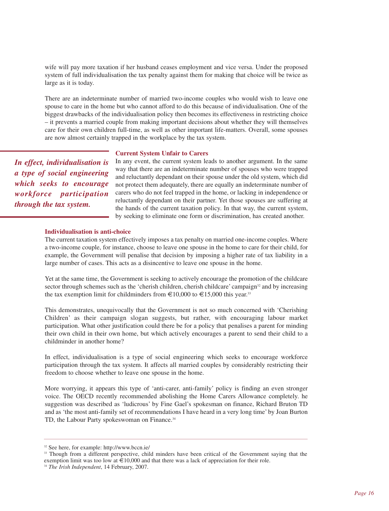wife will pay more taxation if her husband ceases employment and vice versa. Under the proposed system of full individualisation the tax penalty against them for making that choice will be twice as large as it is today.

There are an indeterminate number of married two-income couples who would wish to leave one spouse to care in the home but who cannot afford to do this because of individualisation. One of the biggest drawbacks of the individualisation policy then becomes its effectiveness in restricting choice – it prevents a married couple from making important decisions about whether they will themselves care for their own children full-time, as well as other important life-matters. Overall, some spouses are now almost certainly trapped in the workplace by the tax system.

#### **Current System Unfair to Carers**

*In effect, individualisation is a type of social engineering which seeks to encourage workforce participation through the tax system.*

In any event, the current system leads to another argument. In the same way that there are an indeterminate number of spouses who were trapped and reluctantly dependant on their spouse under the old system, which did not protect them adequately, there are equally an indeterminate number of carers who do not feel trapped in the home, or lacking in independence or reluctantly dependant on their partner. Yet those spouses are suffering at the hands of the current taxation policy. In that way, the current system, by seeking to eliminate one form or discrimination, has created another.

#### **Individualisation is anti-choice**

The current taxation system effectively imposes a tax penalty on married one-income couples. Where a two-income couple, for instance, choose to leave one spouse in the home to care for their child, for example, the Government will penalise that decision by imposing a higher rate of tax liability in a large number of cases. This acts as a disincentive to leave one spouse in the home.

Yet at the same time, the Government is seeking to actively encourage the promotion of the childcare sector through schemes such as the 'cherish children, cherish childcare' campaign<sup>32</sup> and by increasing the tax exemption limit for childminders from  $\text{\textsterling}10,000$  to  $\text{\textsterling}15,000$  this year.<sup>33</sup>

This demonstrates, unequivocally that the Government is not so much concerned with 'Cherishing Children' as their campaign slogan suggests, but rather, with encouraging labour market participation. What other justification could there be for a policy that penalises a parent for minding their own child in their own home, but which actively encourages a parent to send their child to a childminder in another home?

In effect, individualisation is a type of social engineering which seeks to encourage workforce participation through the tax system. It affects all married couples by considerably restricting their freedom to choose whether to leave one spouse in the home.

More worrying, it appears this type of 'anti-carer, anti-family' policy is finding an even stronger voice. The OECD recently recommended abolishing the Home Carers Allowance completely. he suggestion was described as 'ludicrous' by Fine Gael's spokesman on finance, Richard Bruton TD and as 'the most anti-family set of recommendations I have heard in a very long time' by Joan Burton TD, the Labour Party spokeswoman on Finance.<sup>34</sup>

<sup>32</sup> See here, for example: http://www.bccn.ie/

<sup>&</sup>lt;sup>33</sup> Though from a different perspective, child minders have been critical of the Government saying that the exemption limit was too low at  $\epsilon$ 10,000 and that there was a lack of appreciation for their role.

<sup>34</sup> *The Irish Independent*, 14 February, 2007.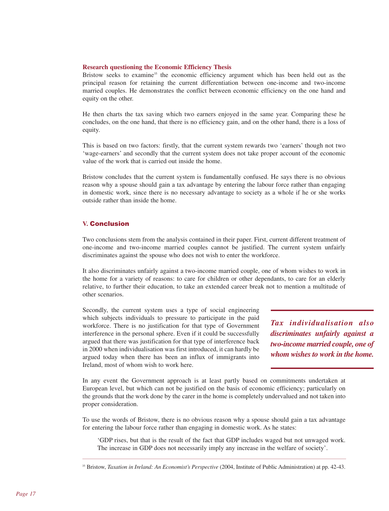#### **Research questioning the Economic Efficiency Thesis**

Bristow seeks to examine<sup>35</sup> the economic efficiency argument which has been held out as the principal reason for retaining the current differentiation between one-income and two-income married couples. He demonstrates the conflict between economic efficiency on the one hand and equity on the other.

He then charts the tax saving which two earners enjoyed in the same year. Comparing these he concludes, on the one hand, that there is no efficiency gain, and on the other hand, there is a loss of equity.

This is based on two factors: firstly, that the current system rewards two 'earners' though not two 'wage-earners' and secondly that the current system does not take proper account of the economic value of the work that is carried out inside the home.

Bristow concludes that the current system is fundamentally confused. He says there is no obvious reason why a spouse should gain a tax advantage by entering the labour force rather than engaging in domestic work, since there is no necessary advantage to society as a whole if he or she works outside rather than inside the home.

# **V.** Conclusion

Two conclusions stem from the analysis contained in their paper. First, current different treatment of one-income and two-income married couples cannot be justified. The current system unfairly discriminates against the spouse who does not wish to enter the workforce.

It also discriminates unfairly against a two-income married couple, one of whom wishes to work in the home for a variety of reasons: to care for children or other dependants, to care for an elderly relative, to further their education, to take an extended career break not to mention a multitude of other scenarios.

Secondly, the current system uses a type of social engineering which subjects individuals to pressure to participate in the paid workforce. There is no justification for that type of Government interference in the personal sphere. Even if it could be successfully argued that there was justification for that type of interference back in 2000 when individualisation was first introduced, it can hardly be argued today when there has been an influx of immigrants into Ireland, most of whom wish to work here.

*Tax individualisation also discriminates unfairly against a two-income married couple, one of whom wishes to work in the home.*

In any event the Government approach is at least partly based on commitments undertaken at European level, but which can not be justified on the basis of economic efficiency; particularly on the grounds that the work done by the carer in the home is completely undervalued and not taken into proper consideration.

To use the words of Bristow, there is no obvious reason why a spouse should gain a tax advantage for entering the labour force rather than engaging in domestic work. As he states:

'GDP rises, but that is the result of the fact that GDP includes waged but not unwaged work. The increase in GDP does not necessarily imply any increase in the welfare of society'.

<sup>35</sup> Bristow, *Taxation in Ireland: An Economist's Perspective* (2004, Institute of Public Administration) at pp. 42-43.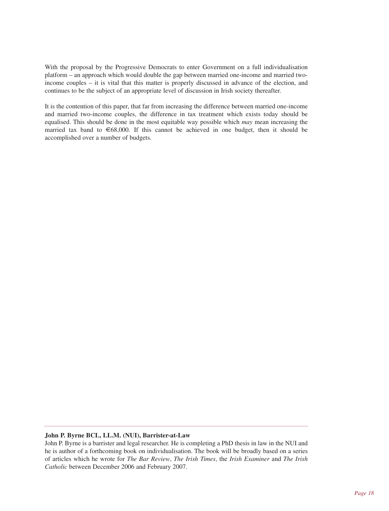With the proposal by the Progressive Democrats to enter Government on a full individualisation platform – an approach which would double the gap between married one-income and married twoincome couples – it is vital that this matter is properly discussed in advance of the election, and continues to be the subject of an appropriate level of discussion in Irish society thereafter.

It is the contention of this paper, that far from increasing the difference between married one-income and married two-income couples, the difference in tax treatment which exists today should be equalised. This should be done in the most equitable way possible which *may* mean increasing the married tax band to  $\epsilon$ 68,000. If this cannot be achieved in one budget, then it should be accomplished over a number of budgets.

# **John P. Byrne BCL, LL.M. (NUI), Barrister-at-Law**

John P. Byrne is a barrister and legal researcher. He is completing a PhD thesis in law in the NUI and he is author of a forthcoming book on individualisation. The book will be broadly based on a series of articles which he wrote for *The Bar Review*, *The Irish Times*, the *Irish Examiner* and *The Irish Catholic* between December 2006 and February 2007.